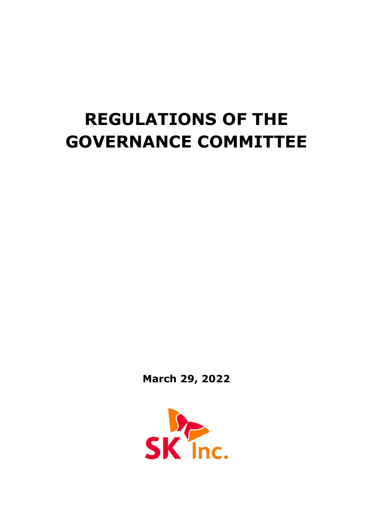# **REGULATIONS OF THE GOVERNANCE COMMITTEE**

**March 29, 2022**

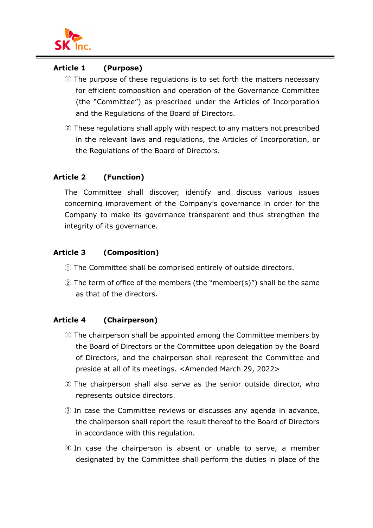

#### **Article 1 (Purpose)**

- ① The purpose of these regulations is to set forth the matters necessary for efficient composition and operation of the Governance Committee (the "Committee") as prescribed under the Articles of Incorporation and the Regulations of the Board of Directors.
- ② These regulations shall apply with respect to any matters not prescribed in the relevant laws and regulations, the Articles of Incorporation, or the Regulations of the Board of Directors.

## **Article 2 (Function)**

The Committee shall discover, identify and discuss various issues concerning improvement of the Company's governance in order for the Company to make its governance transparent and thus strengthen the integrity of its governance.

# **Article 3 (Composition)**

- ① The Committee shall be comprised entirely of outside directors.
- ② The term of office of the members (the "member(s)") shall be the same as that of the directors.

#### **Article 4 (Chairperson)**

- ① The chairperson shall be appointed among the Committee members by the Board of Directors or the Committee upon delegation by the Board of Directors, and the chairperson shall represent the Committee and preside at all of its meetings. <Amended March 29, 2022>
- ② The chairperson shall also serve as the senior outside director, who represents outside directors.
- ③ In case the Committee reviews or discusses any agenda in advance, the chairperson shall report the result thereof to the Board of Directors in accordance with this regulation.
- ④ In case the chairperson is absent or unable to serve, a member designated by the Committee shall perform the duties in place of the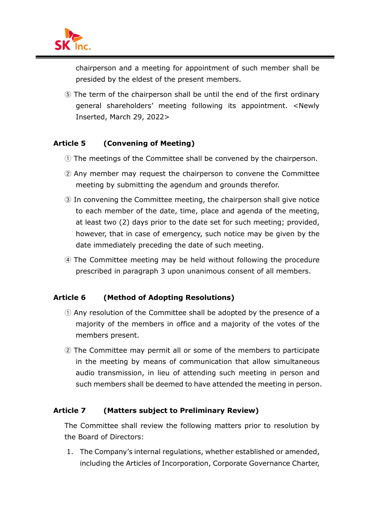

chairperson and a meeting for appointment of such member shall be presided by the eldest of the present members.

⑤ The term of the chairperson shall be until the end of the first ordinary general shareholders' meeting following its appointment. <Newly Inserted, March 29, 2022>

#### **Article 5 (Convening of Meeting)**

- ① The meetings of the Committee shall be convened by the chairperson.
- ② Any member may request the chairperson to convene the Committee meeting by submitting the agendum and grounds therefor.
- ③ In convening the Committee meeting, the chairperson shall give notice to each member of the date, time, place and agenda of the meeting, at least two (2) days prior to the date set for such meeting; provided, however, that in case of emergency, such notice may be given by the date immediately preceding the date of such meeting.
- ④ The Committee meeting may be held without following the procedure prescribed in paragraph 3 upon unanimous consent of all members.

#### **Article 6 (Method of Adopting Resolutions)**

- ① Any resolution of the Committee shall be adopted by the presence of a majority of the members in office and a majority of the votes of the members present.
- ② The Committee may permit all or some of the members to participate in the meeting by means of communication that allow simultaneous audio transmission, in lieu of attending such meeting in person and such members shall be deemed to have attended the meeting in person.

#### **Article 7 (Matters subject to Preliminary Review)**

The Committee shall review the following matters prior to resolution by the Board of Directors:

1. The Company's internal regulations, whether established or amended, including the Articles of Incorporation, Corporate Governance Charter,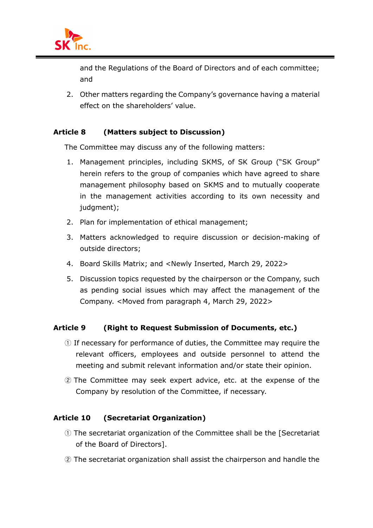

and the Regulations of the Board of Directors and of each committee; and

2. Other matters regarding the Company's governance having a material effect on the shareholders' value.

#### **Article 8 (Matters subject to Discussion)**

The Committee may discuss any of the following matters:

- 1. Management principles, including SKMS, of SK Group ("SK Group" herein refers to the group of companies which have agreed to share management philosophy based on SKMS and to mutually cooperate in the management activities according to its own necessity and judgment);
- 2. Plan for implementation of ethical management;
- 3. Matters acknowledged to require discussion or decision-making of outside directors;
- 4. Board Skills Matrix; and <Newly Inserted, March 29, 2022>
- 5. Discussion topics requested by the chairperson or the Company, such as pending social issues which may affect the management of the Company. <Moved from paragraph 4, March 29, 2022>

#### **Article 9 (Right to Request Submission of Documents, etc.)**

- ① If necessary for performance of duties, the Committee may require the relevant officers, employees and outside personnel to attend the meeting and submit relevant information and/or state their opinion.
- ② The Committee may seek expert advice, etc. at the expense of the Company by resolution of the Committee, if necessary.

#### **Article 10 (Secretariat Organization)**

- ① The secretariat organization of the Committee shall be the [Secretariat of the Board of Directors].
- ② The secretariat organization shall assist the chairperson and handle the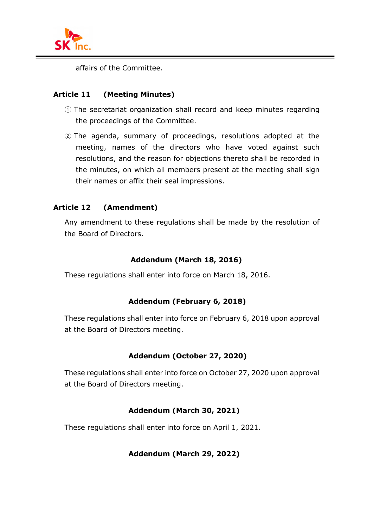

affairs of the Committee.

#### **Article 11 (Meeting Minutes)**

- ① The secretariat organization shall record and keep minutes regarding the proceedings of the Committee.
- ② The agenda, summary of proceedings, resolutions adopted at the meeting, names of the directors who have voted against such resolutions, and the reason for objections thereto shall be recorded in the minutes, on which all members present at the meeting shall sign their names or affix their seal impressions.

## **Article 12 (Amendment)**

Any amendment to these regulations shall be made by the resolution of the Board of Directors.

## **Addendum (March 18, 2016)**

These regulations shall enter into force on March 18, 2016.

# **Addendum (February 6, 2018)**

These regulations shall enter into force on February 6, 2018 upon approval at the Board of Directors meeting.

# **Addendum (October 27, 2020)**

These regulations shall enter into force on October 27, 2020 upon approval at the Board of Directors meeting.

#### **Addendum (March 30, 2021)**

These regulations shall enter into force on April 1, 2021.

#### **Addendum (March 29, 2022)**